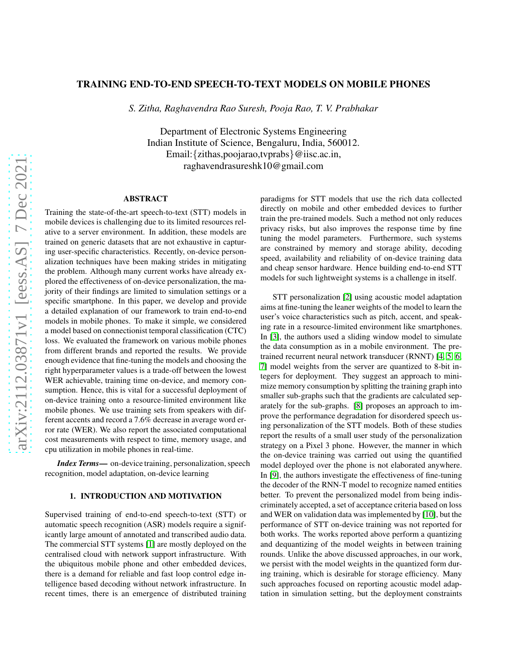# TRAINING END-TO-END SPEECH-TO-TEXT MODELS ON MOBILE PHONES

*S. Zitha, Raghavendra Rao Suresh, Pooja Rao, T. V. Prabhakar*

Department of Electronic Systems Engineering Indian Institute of Science, Bengaluru, India, 560012. Email:{zithas,poojarao,tvprabs}@iisc.ac.in, raghavendrasureshk10@gmail.com

#### ABSTRACT

Training the state-of-the-art speech-to-text (STT) models in mobile devices is challenging due to its limited resources relative to a server environment. In addition, these models are trained on generic datasets that are not exhaustive in capturing user-specific characteristics. Recently, on-device personalization techniques have been making strides in mitigating the problem. Although many current works have already explored the effectiveness of on-device personalization, the majority of their findings are limited to simulation settings or a specific smartphone. In this paper, we develop and provide a detailed explanation of our framework to train end-to-end models in mobile phones. To make it simple, we considered a model based on connectionist temporal classification (CTC) loss. We evaluated the framework on various mobile phones from different brands and reported the results. We provide enough evidence that fine-tuning the models and choosing the right hyperparameter values is a trade-off between the lowest WER achievable, training time on-device, and memory consumption. Hence, this is vital for a successful deployment of on-device training onto a resource-limited environment like mobile phones. We use training sets from speakers with different accents and record a 7.6% decrease in average word error rate (WER). We also report the associated computational cost measurements with respect to time, memory usage, and cpu utilization in mobile phones in real-time.

*Index Terms*— on-device training, personalization, speech recognition, model adaptation, on-device learning

# 1. INTRODUCTION AND MOTIVATION

Supervised training of end-to-end speech-to-text (STT) or automatic speech recognition (ASR) models require a significantly large amount of annotated and transcribed audio data. The commercial STT systems [\[1\]](#page-6-0) are mostly deployed on the centralised cloud with network support infrastructure. With the ubiquitous mobile phone and other embedded devices, there is a demand for reliable and fast loop control edge intelligence based decoding without network infrastructure. In recent times, there is an emergence of distributed training paradigms for STT models that use the rich data collected directly on mobile and other embedded devices to further train the pre-trained models. Such a method not only reduces privacy risks, but also improves the response time by fine tuning the model parameters. Furthermore, such systems are constrained by memory and storage ability, decoding speed, availability and reliability of on-device training data and cheap sensor hardware. Hence building end-to-end STT models for such lightweight systems is a challenge in itself.

STT personalization [\[2\]](#page-6-1) using acoustic model adaptation aims at fine-tuning the leaner weights of the model to learn the user's voice characteristics such as pitch, accent, and speaking rate in a resource-limited environment like smartphones. In [\[3\]](#page-6-2), the authors used a sliding window model to simulate the data consumption as in a mobile environment. The pretrained recurrent neural network transducer (RNNT) [\[4,](#page-6-3) [5,](#page-6-4) [6,](#page-6-5) [7\]](#page-6-6) model weights from the server are quantized to 8-bit integers for deployment. They suggest an approach to minimize memory consumption by splitting the training graph into smaller sub-graphs such that the gradients are calculated separately for the sub-graphs. [\[8\]](#page-6-7) proposes an approach to improve the performance degradation for disordered speech using personalization of the STT models. Both of these studies report the results of a small user study of the personalization strategy on a Pixel 3 phone. However, the manner in which the on-device training was carried out using the quantified model deployed over the phone is not elaborated anywhere. In [\[9\]](#page-6-8), the authors investigate the effectiveness of fine-tuning the decoder of the RNN-T model to recognize named entities better. To prevent the personalized model from being indiscriminately accepted, a set of acceptance criteria based on loss and WER on validation data was implemented by [\[10\]](#page-6-9), but the performance of STT on-device training was not reported for both works. The works reported above perform a quantizing and dequantizing of the model weights in between training rounds. Unlike the above discussed approaches, in our work, we persist with the model weights in the quantized form during training, which is desirable for storage efficiency. Many such approaches focused on reporting acoustic model adaptation in simulation setting, but the deployment constraints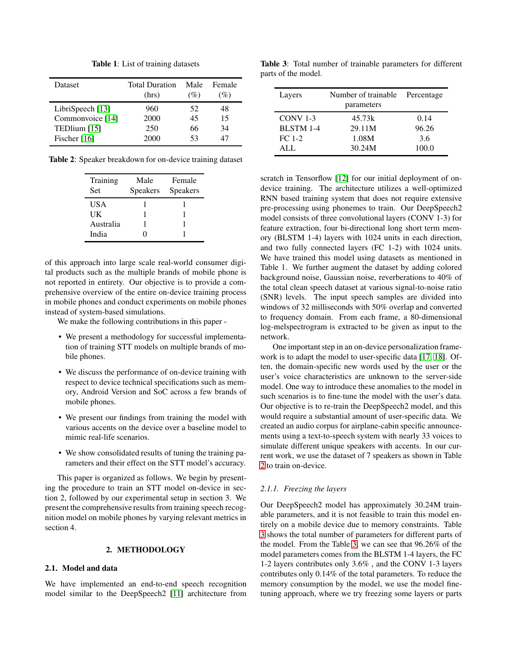| Dataset            | <b>Total Duration</b> | Male | Female |
|--------------------|-----------------------|------|--------|
|                    | (hrs)                 | (%)  | $\%$   |
| LibriSpeech $[13]$ | 960                   | 52   | 48     |
| Commonvoice [14]   | 2000                  | 45   | 15     |
| TEDlium [15]       | 250                   | 66   | 34     |
| Fischer $[16]$     | 2000                  | 53   | 47     |

Table 1: List of training datasets

<span id="page-1-0"></span>Table 2: Speaker breakdown for on-device training dataset

| Training<br><b>Set</b> | Male<br><b>Speakers</b> | Female<br><b>Speakers</b> |
|------------------------|-------------------------|---------------------------|
| <b>USA</b>             |                         |                           |
| UK                     |                         |                           |
| Australia              |                         |                           |
| India                  |                         |                           |

of this approach into large scale real-world consumer digital products such as the multiple brands of mobile phone is not reported in entirety. Our objective is to provide a comprehensive overview of the entire on-device training process in mobile phones and conduct experiments on mobile phones instead of system-based simulations.

We make the following contributions in this paper -

- We present a methodology for successful implementation of training STT models on multiple brands of mobile phones.
- We discuss the performance of on-device training with respect to device technical specifications such as memory, Android Version and SoC across a few brands of mobile phones.
- We present our findings from training the model with various accents on the device over a baseline model to mimic real-life scenarios.
- We show consolidated results of tuning the training parameters and their effect on the STT model's accuracy.

This paper is organized as follows. We begin by presenting the procedure to train an STT model on-device in section 2, followed by our experimental setup in section 3. We present the comprehensive results from training speech recognition model on mobile phones by varying relevant metrics in section 4.

### 2. METHODOLOGY

# 2.1. Model and data

We have implemented an end-to-end speech recognition model similar to the DeepSpeech2 [\[11\]](#page-6-14) architecture from

<span id="page-1-1"></span>Table 3: Total number of trainable parameters for different parts of the model.

| Layers           | Number of trainable<br>parameters | Percentage |
|------------------|-----------------------------------|------------|
| $CONV 1-3$       | 45.73k                            | 0.14       |
| <b>BLSTM 1-4</b> | 29.11M                            | 96.26      |
| $FC 1-2$         | 1.08M                             | 3.6        |
| ALL.             | 30.24M                            | 100.0      |

scratch in Tensorflow [\[12\]](#page-6-15) for our initial deployment of ondevice training. The architecture utilizes a well-optimized RNN based training system that does not require extensive pre-processing using phonemes to train. Our DeepSpeech2 model consists of three convolutional layers (CONV 1-3) for feature extraction, four bi-directional long short term memory (BLSTM 1-4) layers with 1024 units in each direction, and two fully connected layers (FC 1-2) with 1024 units. We have trained this model using datasets as mentioned in Table 1. We further augment the dataset by adding colored background noise, Gaussian noise, reverberations to 40% of the total clean speech dataset at various signal-to-noise ratio (SNR) levels. The input speech samples are divided into windows of 32 milliseconds with 50% overlap and converted to frequency domain. From each frame, a 80-dimensional log-melspectrogram is extracted to be given as input to the network.

One important step in an on-device personalization framework is to adapt the model to user-specific data [\[17,](#page-6-16) [18\]](#page-6-17). Often, the domain-specific new words used by the user or the user's voice characteristics are unknown to the server-side model. One way to introduce these anomalies to the model in such scenarios is to fine-tune the model with the user's data. Our objective is to re-train the DeepSpeech2 model, and this would require a substantial amount of user-specific data. We created an audio corpus for airplane-cabin specific announcements using a text-to-speech system with nearly 33 voices to simulate different unique speakers with accents. In our current work, we use the dataset of 7 speakers as shown in Table [2](#page-1-0) to train on-device.

## *2.1.1. Freezing the layers*

Our DeepSpeech2 model has approximately 30.24M trainable parameters, and it is not feasible to train this model entirely on a mobile device due to memory constraints. Table [3](#page-1-1) shows the total number of parameters for different parts of the model. From the Table [3,](#page-1-1) we can see that 96.26% of the model parameters comes from the BLSTM 1-4 layers, the FC 1-2 layers contributes only 3.6% , and the CONV 1-3 layers contributes only 0.14% of the total parameters. To reduce the memory consumption by the model, we use the model finetuning approach, where we try freezing some layers or parts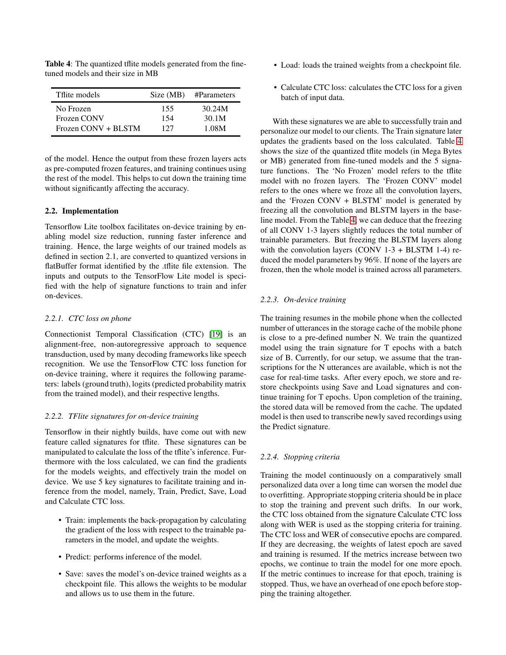| Tflite models              | Size (MB) | #Parameters |
|----------------------------|-----------|-------------|
| No Frozen                  | 155       | 30.24M      |
| Frozen CONV                | 154       | 30.1M       |
| $Frozen$ $CONV + BI$ $STM$ | 127       | 1.08M       |

<span id="page-2-0"></span>Table 4: The quantized tflite models generated from the finetuned models and their size in MB

of the model. Hence the output from these frozen layers acts as pre-computed frozen features, and training continues using the rest of the model. This helps to cut down the training time without significantly affecting the accuracy.

### 2.2. Implementation

Tensorflow Lite toolbox facilitates on-device training by enabling model size reduction, running faster inference and training. Hence, the large weights of our trained models as defined in section 2.1, are converted to quantized versions in flatBuffer format identified by the .tflite file extension. The inputs and outputs to the TensorFlow Lite model is specified with the help of signature functions to train and infer on-devices.

## *2.2.1. CTC loss on phone*

Connectionist Temporal Classification (CTC) [\[19\]](#page-6-18) is an alignment-free, non-autoregressive approach to sequence transduction, used by many decoding frameworks like speech recognition. We use the TensorFlow CTC loss function for on-device training, where it requires the following parameters: labels (ground truth), logits (predicted probability matrix from the trained model), and their respective lengths.

#### *2.2.2. TFlite signatures for on-device training*

Tensorflow in their nightly builds, have come out with new feature called signatures for tflite. These signatures can be manipulated to calculate the loss of the tflite's inference. Furthermore with the loss calculated, we can find the gradients for the models weights, and effectively train the model on device. We use 5 key signatures to facilitate training and inference from the model, namely, Train, Predict, Save, Load and Calculate CTC loss.

- Train: implements the back-propagation by calculating the gradient of the loss with respect to the trainable parameters in the model, and update the weights.
- Predict: performs inference of the model.
- Save: saves the model's on-device trained weights as a checkpoint file. This allows the weights to be modular and allows us to use them in the future.
- Load: loads the trained weights from a checkpoint file.
- Calculate CTC loss: calculates the CTC loss for a given batch of input data.

With these signatures we are able to successfully train and personalize our model to our clients. The Train signature later updates the gradients based on the loss calculated. Table [4](#page-2-0) shows the size of the quantized tflite models (in Mega Bytes or MB) generated from fine-tuned models and the 5 signature functions. The 'No Frozen' model refers to the tflite model with no frozen layers. The 'Frozen CONV' model refers to the ones where we froze all the convolution layers, and the 'Frozen CONV + BLSTM' model is generated by freezing all the convolution and BLSTM layers in the baseline model. From the Table [4,](#page-2-0) we can deduce that the freezing of all CONV 1-3 layers slightly reduces the total number of trainable parameters. But freezing the BLSTM layers along with the convolution layers (CONV  $1-3$  + BLSTM  $1-4$ ) reduced the model parameters by 96%. If none of the layers are frozen, then the whole model is trained across all parameters.

### *2.2.3. On-device training*

The training resumes in the mobile phone when the collected number of utterances in the storage cache of the mobile phone is close to a pre-defined number N. We train the quantized model using the train signature for T epochs with a batch size of B. Currently, for our setup, we assume that the transcriptions for the N utterances are available, which is not the case for real-time tasks. After every epoch, we store and restore checkpoints using Save and Load signatures and continue training for T epochs. Upon completion of the training, the stored data will be removed from the cache. The updated model is then used to transcribe newly saved recordings using the Predict signature.

#### <span id="page-2-1"></span>*2.2.4. Stopping criteria*

Training the model continuously on a comparatively small personalized data over a long time can worsen the model due to overfitting. Appropriate stopping criteria should be in place to stop the training and prevent such drifts. In our work, the CTC loss obtained from the signature Calculate CTC loss along with WER is used as the stopping criteria for training. The CTC loss and WER of consecutive epochs are compared. If they are decreasing, the weights of latest epoch are saved and training is resumed. If the metrics increase between two epochs, we continue to train the model for one more epoch. If the metric continues to increase for that epoch, training is stopped. Thus, we have an overhead of one epoch before stopping the training altogether.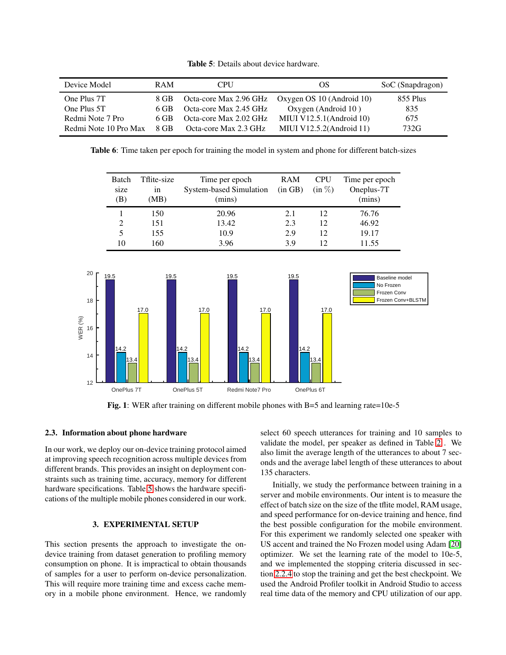| <b>Table 5</b> : Details about device hardware. |
|-------------------------------------------------|
|-------------------------------------------------|

<span id="page-3-0"></span>

| Device Model          | <b>RAM</b> | <b>CPU</b>             | OS                          | SoC (Snapdragon) |
|-----------------------|------------|------------------------|-----------------------------|------------------|
| One Plus 7T           | 8 GB       | Octa-core Max 2.96 GHz | Oxygen OS 10 (Android 10)   | 855 Plus         |
| One Plus 5T           | 6 GB       | Octa-core Max 2.45 GHz | Oxygen (Android 10)         | 835              |
| Redmi Note 7 Pro      | 6 GB       | Octa-core Max 2.02 GHz | MIUI V12.5.1(Android $10$ ) | 675              |
| Redmi Note 10 Pro Max | 8 GB       | Octa-core Max 2.3 GHz  | MIUI V12.5.2(Android 11)    | 732G             |

<span id="page-3-2"></span>Table 6: Time taken per epoch for training the model in system and phone for different batch-sizes

| <b>Batch</b><br>size | Tflite-size<br>1n | Time per epoch<br><b>System-based Simulation</b> | RAM<br>(in GB) | <b>CPU</b><br>$(in \%)$ | Time per epoch<br>Oneplus-7T |
|----------------------|-------------------|--------------------------------------------------|----------------|-------------------------|------------------------------|
| (B)                  | (MB)              | (mins)                                           |                |                         | (mins)                       |
|                      | 150               | 20.96                                            | 2.1            | 12                      | 76.76                        |
|                      | 151               | 13.42                                            | 2.3            | 12                      | 46.92                        |
|                      | 155               | 10.9                                             | 2.9            | 12                      | 19.17                        |
| 10                   | 160               | 3.96                                             | 39             |                         | 11.55                        |

<span id="page-3-3"></span>



#### 2.3. Information about phone hardware

In our work, we deploy our on-device training protocol aimed at improving speech recognition across multiple devices from different brands. This provides an insight on deployment constraints such as training time, accuracy, memory for different hardware specifications. Table [5](#page-3-0) shows the hardware specifications of the multiple mobile phones considered in our work.

### 3. EXPERIMENTAL SETUP

<span id="page-3-1"></span>This section presents the approach to investigate the ondevice training from dataset generation to profiling memory consumption on phone. It is impractical to obtain thousands of samples for a user to perform on-device personalization. This will require more training time and excess cache memory in a mobile phone environment. Hence, we randomly select 60 speech utterances for training and 10 samples to validate the model, per speaker as defined in Table [2](#page-1-0) . We also limit the average length of the utterances to about 7 seconds and the average label length of these utterances to about 135 characters.

Initially, we study the performance between training in a server and mobile environments. Our intent is to measure the effect of batch size on the size of the tflite model, RAM usage, and speed performance for on-device training and hence, find the best possible configuration for the mobile environment. For this experiment we randomly selected one speaker with US accent and trained the No Frozen model using Adam [\[20\]](#page-6-19) optimizer. We set the learning rate of the model to 10e-5, and we implemented the stopping criteria discussed in section [2.2.4](#page-2-1) to stop the training and get the best checkpoint. We used the Android Profiler toolkit in Android Studio to access real time data of the memory and CPU utilization of our app.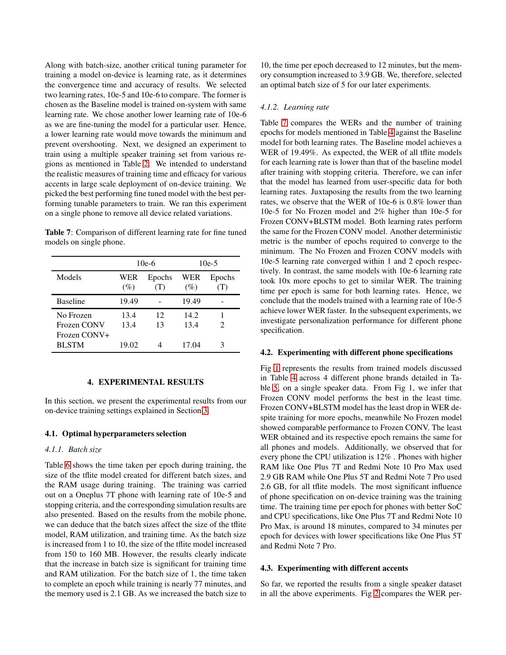Along with batch-size, another critical tuning parameter for training a model on-device is learning rate, as it determines the convergence time and accuracy of results. We selected two learning rates, 10e-5 and 10e-6 to compare. The former is chosen as the Baseline model is trained on-system with same learning rate. We chose another lower learning rate of 10e-6 as we are fine-tuning the model for a particular user. Hence, a lower learning rate would move towards the minimum and prevent overshooting. Next, we designed an experiment to train using a multiple speaker training set from various regions as mentioned in Table [2.](#page-1-0) We intended to understand the realistic measures of training time and efficacy for various accents in large scale deployment of on-device training. We picked the best performing fine tuned model with the best performing tunable parameters to train. We ran this experiment on a single phone to remove all device related variations.

<span id="page-4-0"></span>Table 7: Comparison of different learning rate for fine tuned models on single phone.

|                                          | $10e-6$      |               | $10e-5$      |                             |
|------------------------------------------|--------------|---------------|--------------|-----------------------------|
| Models                                   | WER<br>(%)   | Epochs<br>(T) | WER<br>(%)   | Epochs<br>(T)               |
| <b>Baseline</b>                          | 19.49        |               | 19.49        |                             |
| No Frozen<br>Frozen CONV<br>Frozen CONV+ | 13.4<br>13.4 | 12<br>13      | 14.2<br>13.4 | $\mathcal{D}_{\mathcal{A}}$ |
| <b>BLSTM</b>                             | 19.02        |               | 17.04        | 3                           |

## 4. EXPERIMENTAL RESULTS

In this section, we present the experimental results from our on-device training settings explained in Section [3.](#page-3-1)

#### 4.1. Optimal hyperparameters selection

### *4.1.1. Batch size*

Table [6](#page-3-2) shows the time taken per epoch during training, the size of the tflite model created for different batch sizes, and the RAM usage during training. The training was carried out on a Oneplus 7T phone with learning rate of 10e-5 and stopping criteria, and the corresponding simulation results are also presented. Based on the results from the mobile phone, we can deduce that the batch sizes affect the size of the tflite model, RAM utilization, and training time. As the batch size is increased from 1 to 10, the size of the tflite model increased from 150 to 160 MB. However, the results clearly indicate that the increase in batch size is significant for training time and RAM utilization. For the batch size of 1, the time taken to complete an epoch while training is nearly 77 minutes, and the memory used is 2.1 GB. As we increased the batch size to

10, the time per epoch decreased to 12 minutes, but the memory consumption increased to 3.9 GB. We, therefore, selected an optimal batch size of 5 for our later experiments.

#### *4.1.2. Learning rate*

Table [7](#page-4-0) compares the WERs and the number of training epochs for models mentioned in Table [4](#page-2-0) against the Baseline model for both learning rates. The Baseline model achieves a WER of 19.49%. As expected, the WER of all tflite models for each learning rate is lower than that of the baseline model after training with stopping criteria. Therefore, we can infer that the model has learned from user-specific data for both learning rates. Juxtaposing the results from the two learning rates, we observe that the WER of 10e-6 is 0.8% lower than 10e-5 for No Frozen model and 2% higher than 10e-5 for Frozen CONV+BLSTM model. Both learning rates perform the same for the Frozen CONV model. Another deterministic metric is the number of epochs required to converge to the minimum. The No Frozen and Frozen CONV models with 10e-5 learning rate converged within 1 and 2 epoch respectively. In contrast, the same models with 10e-6 learning rate took 10x more epochs to get to similar WER. The training time per epoch is same for both learning rates. Hence, we conclude that the models trained with a learning rate of 10e-5 achieve lower WER faster. In the subsequent experiments, we investigate personalization performance for different phone specification.

#### 4.2. Experimenting with different phone specifications

Fig [1](#page-3-3) represents the results from trained models discussed in Table [4](#page-2-0) across 4 different phone brands detailed in Table [5,](#page-3-0) on a single speaker data. From Fig 1, we infer that Frozen CONV model performs the best in the least time. Frozen CONV+BLSTM model has the least drop in WER despite training for more epochs, meanwhile No Frozen model showed comparable performance to Frozen CONV. The least WER obtained and its respective epoch remains the same for all phones and models. Additionally, we observed that for every phone the CPU utilization is 12% . Phones with higher RAM like One Plus 7T and Redmi Note 10 Pro Max used 2.9 GB RAM while One Plus 5T and Redmi Note 7 Pro used 2.6 GB, for all tflite models. The most significant influence of phone specification on on-device training was the training time. The training time per epoch for phones with better SoC and CPU specifications, like One Plus 7T and Redmi Note 10 Pro Max, is around 18 minutes, compared to 34 minutes per epoch for devices with lower specifications like One Plus 5T and Redmi Note 7 Pro.

## 4.3. Experimenting with different accents

So far, we reported the results from a single speaker dataset in all the above experiments. Fig [2](#page-5-0) compares the WER per-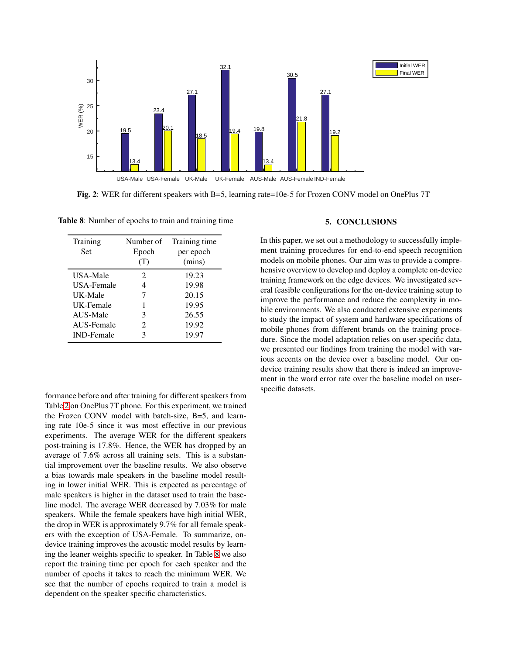<span id="page-5-0"></span>

Fig. 2: WER for different speakers with B=5, learning rate=10e-5 for Frozen CONV model on OnePlus 7T

| Training<br>Set   | Number of<br>Epoch<br>(T) | Training time<br>per epoch<br>(mins) |
|-------------------|---------------------------|--------------------------------------|
| USA-Male          | 2                         | 19.23                                |
| USA-Female        | 4                         | 19.98                                |
| UK-Male           | 7                         | 20.15                                |
| UK-Female         | 1                         | 19.95                                |
| AUS-Male          | 3                         | 26.55                                |
| AUS-Female        | 2                         | 19.92                                |
| <b>IND-Female</b> | 3                         | 19.97                                |

<span id="page-5-1"></span>Table 8: Number of epochs to train and training time

formance before and after training for different speakers from Table [2](#page-1-0) on OnePlus 7T phone. For this experiment, we trained the Frozen CONV model with batch-size, B=5, and learning rate 10e-5 since it was most effective in our previous experiments. The average WER for the different speakers post-training is 17.8%. Hence, the WER has dropped by an average of 7.6% across all training sets. This is a substantial improvement over the baseline results. We also observe a bias towards male speakers in the baseline model resulting in lower initial WER. This is expected as percentage of male speakers is higher in the dataset used to train the baseline model. The average WER decreased by 7.03% for male speakers. While the female speakers have high initial WER, the drop in WER is approximately 9.7% for all female speakers with the exception of USA-Female. To summarize, ondevice training improves the acoustic model results by learning the leaner weights specific to speaker. In Table [8](#page-5-1) we also report the training time per epoch for each speaker and the number of epochs it takes to reach the minimum WER. We see that the number of epochs required to train a model is dependent on the speaker specific characteristics.

### 5. CONCLUSIONS

In this paper, we set out a methodology to successfully implement training procedures for end-to-end speech recognition models on mobile phones. Our aim was to provide a comprehensive overview to develop and deploy a complete on-device training framework on the edge devices. We investigated several feasible configurations for the on-device training setup to improve the performance and reduce the complexity in mobile environments. We also conducted extensive experiments to study the impact of system and hardware specifications of mobile phones from different brands on the training procedure. Since the model adaptation relies on user-specific data, we presented our findings from training the model with various accents on the device over a baseline model. Our ondevice training results show that there is indeed an improvement in the word error rate over the baseline model on userspecific datasets.